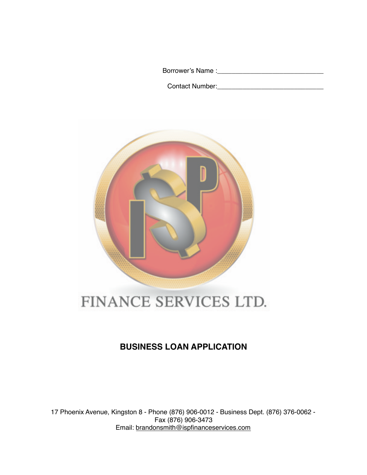Borrower's Name :\_\_\_\_\_\_\_\_\_\_\_\_\_\_\_\_\_\_\_\_\_\_\_\_\_\_\_\_\_

Contact Number:\_\_\_\_\_\_\_\_\_\_\_\_\_\_\_\_\_\_\_\_\_\_\_\_\_\_\_\_\_



# FINANCE SERVICES LTD.

# **BUSINESS LOAN APPLICATION**

17 Phoenix Avenue, Kingston 8 - Phone (876) 906-0012 - Business Dept. (876) 376-0062 - Fax (876) 906-3473 Email: [brandonsmith@ispfinanceservices.com](mailto:brandonsmith@ispfinanceservices.com)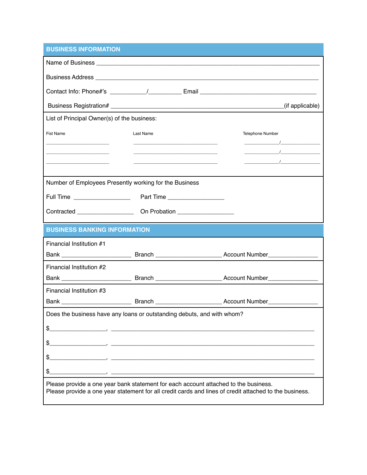# **BUSINESS INFORMATION**

|                                                                                                                                                                                                                                                                                                                                                                                    |                                                                                                                                                                                                                                      |                                                       | (if applicable)                                                                                                                                                                                                                                                                                 |
|------------------------------------------------------------------------------------------------------------------------------------------------------------------------------------------------------------------------------------------------------------------------------------------------------------------------------------------------------------------------------------|--------------------------------------------------------------------------------------------------------------------------------------------------------------------------------------------------------------------------------------|-------------------------------------------------------|-------------------------------------------------------------------------------------------------------------------------------------------------------------------------------------------------------------------------------------------------------------------------------------------------|
| List of Principal Owner(s) of the business:                                                                                                                                                                                                                                                                                                                                        |                                                                                                                                                                                                                                      |                                                       |                                                                                                                                                                                                                                                                                                 |
| <b>Fist Name</b>                                                                                                                                                                                                                                                                                                                                                                   | Last Name                                                                                                                                                                                                                            |                                                       | Telephone Number                                                                                                                                                                                                                                                                                |
|                                                                                                                                                                                                                                                                                                                                                                                    |                                                                                                                                                                                                                                      |                                                       | $\frac{1}{2}$ . The contract of $\frac{1}{2}$ , $\frac{1}{2}$ , $\frac{1}{2}$ , $\frac{1}{2}$ , $\frac{1}{2}$ , $\frac{1}{2}$ , $\frac{1}{2}$ , $\frac{1}{2}$ , $\frac{1}{2}$ , $\frac{1}{2}$ , $\frac{1}{2}$ , $\frac{1}{2}$ , $\frac{1}{2}$ , $\frac{1}{2}$ , $\frac{1}{2}$ , $\frac{1}{2}$ , |
|                                                                                                                                                                                                                                                                                                                                                                                    | <u> 1980 - Johann John Harry Harry Harry Harry Harry Harry Harry Harry Harry Harry Harry Harry Harry Harry Harry Harry Harry Harry Harry Harry Harry Harry Harry Harry Harry Harry Harry Harry Harry Harry Harry Harry Harry Har</u> |                                                       |                                                                                                                                                                                                                                                                                                 |
|                                                                                                                                                                                                                                                                                                                                                                                    |                                                                                                                                                                                                                                      | <u> 1989 - Johann Barbara, margaret eta idazlea (</u> | $\frac{1}{2}$ . The contract of $\frac{1}{2}$ is the contract of $\frac{1}{2}$ is the contract of $\frac{1}{2}$ is the contract of $\frac{1}{2}$ is the contract of $\frac{1}{2}$ is the contract of $\frac{1}{2}$ is the contract of $\frac{1}{2}$ is the co                                   |
| Number of Employees Presently working for the Business                                                                                                                                                                                                                                                                                                                             |                                                                                                                                                                                                                                      |                                                       |                                                                                                                                                                                                                                                                                                 |
|                                                                                                                                                                                                                                                                                                                                                                                    |                                                                                                                                                                                                                                      |                                                       |                                                                                                                                                                                                                                                                                                 |
|                                                                                                                                                                                                                                                                                                                                                                                    |                                                                                                                                                                                                                                      |                                                       |                                                                                                                                                                                                                                                                                                 |
|                                                                                                                                                                                                                                                                                                                                                                                    |                                                                                                                                                                                                                                      |                                                       |                                                                                                                                                                                                                                                                                                 |
| <b>BUSINESS BANKING INFORMATION</b>                                                                                                                                                                                                                                                                                                                                                |                                                                                                                                                                                                                                      |                                                       |                                                                                                                                                                                                                                                                                                 |
| Financial Institution #1                                                                                                                                                                                                                                                                                                                                                           |                                                                                                                                                                                                                                      |                                                       |                                                                                                                                                                                                                                                                                                 |
|                                                                                                                                                                                                                                                                                                                                                                                    |                                                                                                                                                                                                                                      |                                                       |                                                                                                                                                                                                                                                                                                 |
| Financial Institution #2                                                                                                                                                                                                                                                                                                                                                           |                                                                                                                                                                                                                                      |                                                       |                                                                                                                                                                                                                                                                                                 |
|                                                                                                                                                                                                                                                                                                                                                                                    |                                                                                                                                                                                                                                      |                                                       |                                                                                                                                                                                                                                                                                                 |
| Financial Institution #3                                                                                                                                                                                                                                                                                                                                                           |                                                                                                                                                                                                                                      |                                                       |                                                                                                                                                                                                                                                                                                 |
|                                                                                                                                                                                                                                                                                                                                                                                    |                                                                                                                                                                                                                                      |                                                       |                                                                                                                                                                                                                                                                                                 |
| Does the business have any loans or outstanding debuts, and with whom?                                                                                                                                                                                                                                                                                                             |                                                                                                                                                                                                                                      |                                                       |                                                                                                                                                                                                                                                                                                 |
| \$<br>$\overline{\phantom{a}}$ , and the contract of $\overline{\phantom{a}}$ , and the contract of $\overline{\phantom{a}}$ , and $\overline{\phantom{a}}$ , and $\overline{\phantom{a}}$ , and $\overline{\phantom{a}}$ , and $\overline{\phantom{a}}$ , and $\overline{\phantom{a}}$ , and $\overline{\phantom{a}}$ , and $\overline{\phantom{a}}$ , and $\overline{\phantom{a$ |                                                                                                                                                                                                                                      |                                                       |                                                                                                                                                                                                                                                                                                 |
| \$                                                                                                                                                                                                                                                                                                                                                                                 |                                                                                                                                                                                                                                      |                                                       |                                                                                                                                                                                                                                                                                                 |
| \$                                                                                                                                                                                                                                                                                                                                                                                 |                                                                                                                                                                                                                                      |                                                       |                                                                                                                                                                                                                                                                                                 |
| \$                                                                                                                                                                                                                                                                                                                                                                                 |                                                                                                                                                                                                                                      |                                                       |                                                                                                                                                                                                                                                                                                 |
| Please provide a one year bank statement for each account attached to the business.                                                                                                                                                                                                                                                                                                |                                                                                                                                                                                                                                      |                                                       | Please provide a one year statement for all credit cards and lines of credit attached to the business.                                                                                                                                                                                          |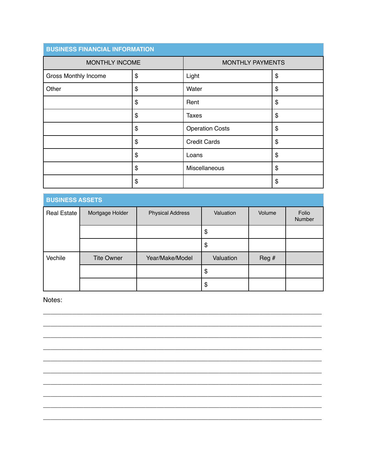| <b>BUSINESS FINANCIAL INFORMATION</b> |    |                         |    |
|---------------------------------------|----|-------------------------|----|
| MONTHLY INCOME                        |    | <b>MONTHLY PAYMENTS</b> |    |
| <b>Gross Monthly Income</b>           | \$ | Light                   | \$ |
| Other                                 | \$ | Water                   | \$ |
|                                       | \$ | Rent                    | \$ |
|                                       | \$ | <b>Taxes</b>            | \$ |
|                                       | \$ | <b>Operation Costs</b>  | \$ |
|                                       | \$ | <b>Credit Cards</b>     | \$ |
|                                       | \$ | Loans                   | \$ |
|                                       | \$ | Miscellaneous           | \$ |
|                                       | \$ |                         | \$ |

| <b>BUSINESS ASSETS</b> |                   |                         |           |        |                 |
|------------------------|-------------------|-------------------------|-----------|--------|-----------------|
| <b>Real Estate</b>     | Mortgage Holder   | <b>Physical Address</b> | Valuation | Volume | Folio<br>Number |
|                        |                   |                         | \$        |        |                 |
|                        |                   |                         | \$        |        |                 |
| Vechile                | <b>Tite Owner</b> | Year/Make/Model         | Valuation | Reg#   |                 |
|                        |                   |                         | \$        |        |                 |
|                        |                   |                         | \$        |        |                 |

#### Notes: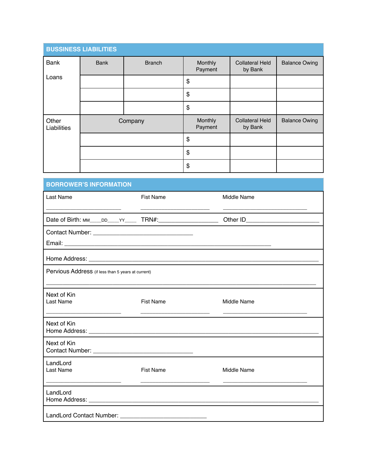|                                                     | <b>BUSSINESS LIABILITIES</b> |               |                    |                                   |                      |  |
|-----------------------------------------------------|------------------------------|---------------|--------------------|-----------------------------------|----------------------|--|
| <b>Bank</b>                                         | <b>Bank</b>                  | <b>Branch</b> | Monthly<br>Payment | <b>Collateral Held</b><br>by Bank | <b>Balance Owing</b> |  |
| Loans                                               |                              |               | \$                 |                                   |                      |  |
|                                                     |                              |               | \$                 |                                   |                      |  |
|                                                     |                              |               | \$                 |                                   |                      |  |
| Other<br>Liabilities                                |                              | Company       | Monthly<br>Payment | <b>Collateral Held</b><br>by Bank | <b>Balance Owing</b> |  |
|                                                     |                              |               | \$                 |                                   |                      |  |
|                                                     |                              |               | \$                 |                                   |                      |  |
|                                                     |                              |               | \$                 |                                   |                      |  |
| <b>BORROWER'S INFORMATION</b>                       |                              |               |                    |                                   |                      |  |
| <b>Fist Name</b><br>Middle Name<br><b>Last Name</b> |                              |               |                    |                                   |                      |  |
|                                                     |                              |               |                    |                                   |                      |  |
|                                                     |                              |               |                    |                                   |                      |  |

| Email:                                                   |
|----------------------------------------------------------|
| Home Address:                                            |
| <b>Parvious Address</b> (if less than Evening at auxent) |

|  | Pervious Address (if less than 5 years at current) |
|--|----------------------------------------------------|
|--|----------------------------------------------------|

| Next of Kin<br>Last Name                                                                                                                                                                                                       | <b>Fist Name</b> | Middle Name |
|--------------------------------------------------------------------------------------------------------------------------------------------------------------------------------------------------------------------------------|------------------|-------------|
| Next of Kin                                                                                                                                                                                                                    |                  |             |
| Next of Kin                                                                                                                                                                                                                    |                  |             |
| LandLord<br>Last Name                                                                                                                                                                                                          | <b>Fist Name</b> | Middle Name |
| LandLord                                                                                                                                                                                                                       |                  |             |
| LandLord Contact Number: National Secret Secret Secret Secret Secret Secret Secret Secret Secret Secret Secret Secret Secret Secret Secret Secret Secret Secret Secret Secret Secret Secret Secret Secret Secret Secret Secret |                  |             |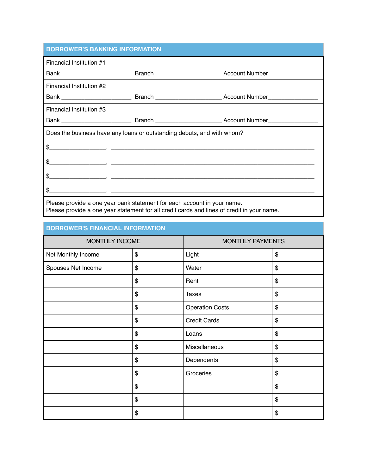## **BORROWER'S BANKING INFORMATION**

| Financial Institution #1                                                |                                                                                                                                                                                                                                                                                                           |  |  |  |
|-------------------------------------------------------------------------|-----------------------------------------------------------------------------------------------------------------------------------------------------------------------------------------------------------------------------------------------------------------------------------------------------------|--|--|--|
|                                                                         |                                                                                                                                                                                                                                                                                                           |  |  |  |
| Financial Institution #2                                                |                                                                                                                                                                                                                                                                                                           |  |  |  |
|                                                                         |                                                                                                                                                                                                                                                                                                           |  |  |  |
| Financial Institution #3                                                |                                                                                                                                                                                                                                                                                                           |  |  |  |
|                                                                         |                                                                                                                                                                                                                                                                                                           |  |  |  |
| Does the business have any loans or outstanding debuts, and with whom?  |                                                                                                                                                                                                                                                                                                           |  |  |  |
|                                                                         | $\frac{1}{2}$ , $\frac{1}{2}$ , $\frac{1}{2}$ , $\frac{1}{2}$ , $\frac{1}{2}$ , $\frac{1}{2}$ , $\frac{1}{2}$ , $\frac{1}{2}$ , $\frac{1}{2}$ , $\frac{1}{2}$ , $\frac{1}{2}$ , $\frac{1}{2}$ , $\frac{1}{2}$ , $\frac{1}{2}$ , $\frac{1}{2}$ , $\frac{1}{2}$ , $\frac{1}{2}$ , $\frac{1}{2}$ , $\frac{1$ |  |  |  |
|                                                                         | $\frac{1}{2}$ , $\frac{1}{2}$ , $\frac{1}{2}$ , $\frac{1}{2}$ , $\frac{1}{2}$ , $\frac{1}{2}$ , $\frac{1}{2}$ , $\frac{1}{2}$ , $\frac{1}{2}$ , $\frac{1}{2}$ , $\frac{1}{2}$ , $\frac{1}{2}$ , $\frac{1}{2}$ , $\frac{1}{2}$ , $\frac{1}{2}$ , $\frac{1}{2}$ , $\frac{1}{2}$ , $\frac{1}{2}$ , $\frac{1$ |  |  |  |
|                                                                         | $\frac{1}{2}$ , $\frac{1}{2}$ , $\frac{1}{2}$ , $\frac{1}{2}$ , $\frac{1}{2}$ , $\frac{1}{2}$ , $\frac{1}{2}$ , $\frac{1}{2}$ , $\frac{1}{2}$ , $\frac{1}{2}$ , $\frac{1}{2}$ , $\frac{1}{2}$ , $\frac{1}{2}$ , $\frac{1}{2}$ , $\frac{1}{2}$ , $\frac{1}{2}$ , $\frac{1}{2}$ , $\frac{1}{2}$ , $\frac{1$ |  |  |  |
|                                                                         |                                                                                                                                                                                                                                                                                                           |  |  |  |
| Please provide a one year bank statement for each account in your name. |                                                                                                                                                                                                                                                                                                           |  |  |  |

Please provide a one year statement for all credit cards and lines of credit in your name.

#### **BORROWER'S FINANCIAL INFORMATION**

| MONTHLY INCOME     |    | MONTHLY PAYMENTS       |    |
|--------------------|----|------------------------|----|
| Net Monthly Income | \$ | Light                  | \$ |
| Spouses Net Income | \$ | Water                  | \$ |
|                    | \$ | Rent                   | \$ |
|                    | \$ | <b>Taxes</b>           | \$ |
|                    | \$ | <b>Operation Costs</b> | \$ |
|                    | \$ | <b>Credit Cards</b>    | \$ |
|                    | \$ | Loans                  | \$ |
|                    | \$ | Miscellaneous          | \$ |
|                    | \$ | Dependents             | \$ |
|                    | \$ | Groceries              | \$ |
|                    | \$ |                        | \$ |
|                    | \$ |                        | \$ |
|                    | \$ |                        | \$ |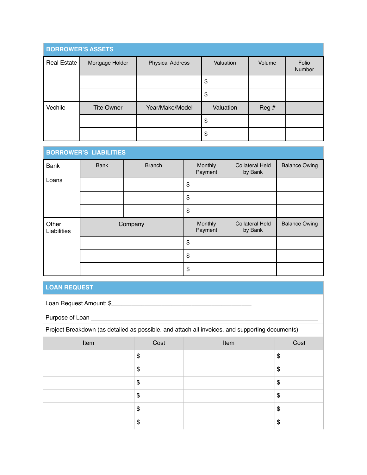| <b>BORROWER'S ASSETS</b> |                   |                         |           |        |                 |
|--------------------------|-------------------|-------------------------|-----------|--------|-----------------|
| <b>Real Estate</b>       | Mortgage Holder   | <b>Physical Address</b> | Valuation | Volume | Folio<br>Number |
|                          |                   |                         | \$        |        |                 |
|                          |                   |                         | \$        |        |                 |
| Vechile                  | <b>Tite Owner</b> | Year/Make/Model         | Valuation | Reg #  |                 |
|                          |                   |                         | \$        |        |                 |
|                          |                   |                         | \$        |        |                 |

#### **BORROWER'S LIABILITIES**  Bank Loans Bank | Branch | Monthly Payment Collateral Held by Bank Balance Owing \$ \$ \$ **Other** Liabilities Company Monthly Payment Collateral Held by Bank Balance Owing \$ \$ \$

#### **LOAN REQUEST**

Loan Request Amount: \$\_\_\_\_\_\_\_\_\_\_\_\_\_\_\_\_\_\_\_\_\_\_\_\_\_\_\_\_\_\_\_\_\_\_\_\_\_\_\_\_\_\_

Purpose of Loan \_\_\_\_\_\_\_\_\_\_\_\_\_\_\_\_\_\_\_\_\_\_\_\_\_\_\_\_\_\_\_\_\_\_\_\_\_\_\_\_\_\_\_\_\_\_\_\_\_\_\_\_\_\_\_\_\_\_\_\_\_\_\_\_\_\_\_\_

Project Breakdown (as detailed as possible. and attach all invoices, and supporting documents)

| Item | Cost | Item | Cost |
|------|------|------|------|
|      | \$   |      | \$   |
|      | \$   |      | \$   |
|      | \$   |      | \$   |
|      | \$   |      | \$   |
|      | \$   |      | \$   |
|      | \$   |      | \$   |